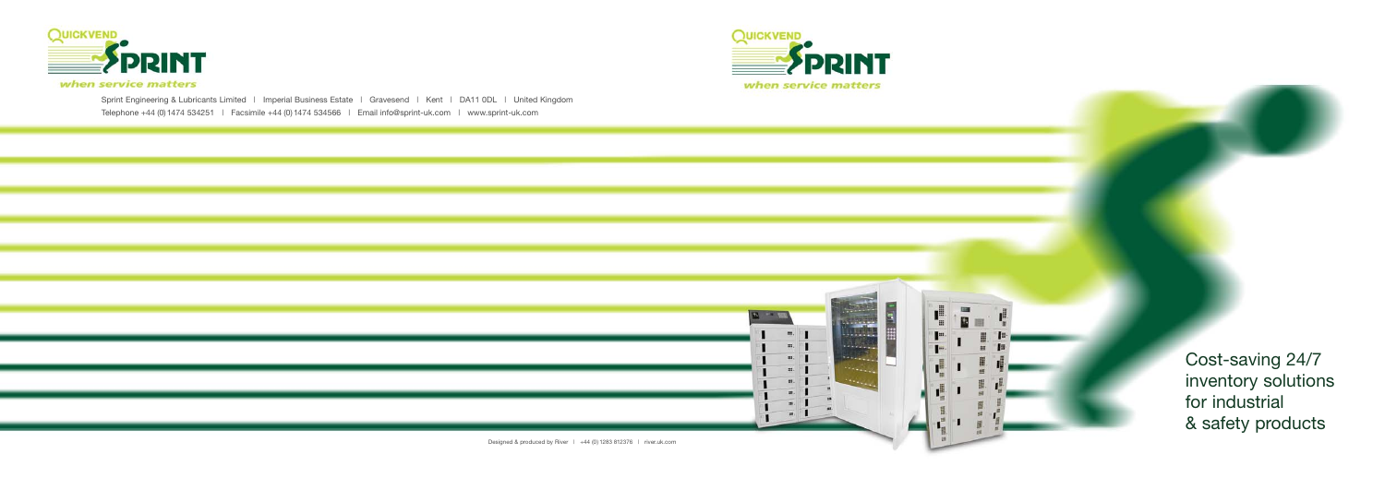

#### when service matters

Sprint Engineering & Lubricants Limited | Imperial Business Estate | Gravesend | Kent | DA11 0DL | United Kingdom Telephone +44 (0)1474 534251 | Facsimile +44 (0)1474 534566 | Email info@sprint-uk.com | www.sprint-uk.com





Cost-saving 24/7 inventory solutions for industrial & safety products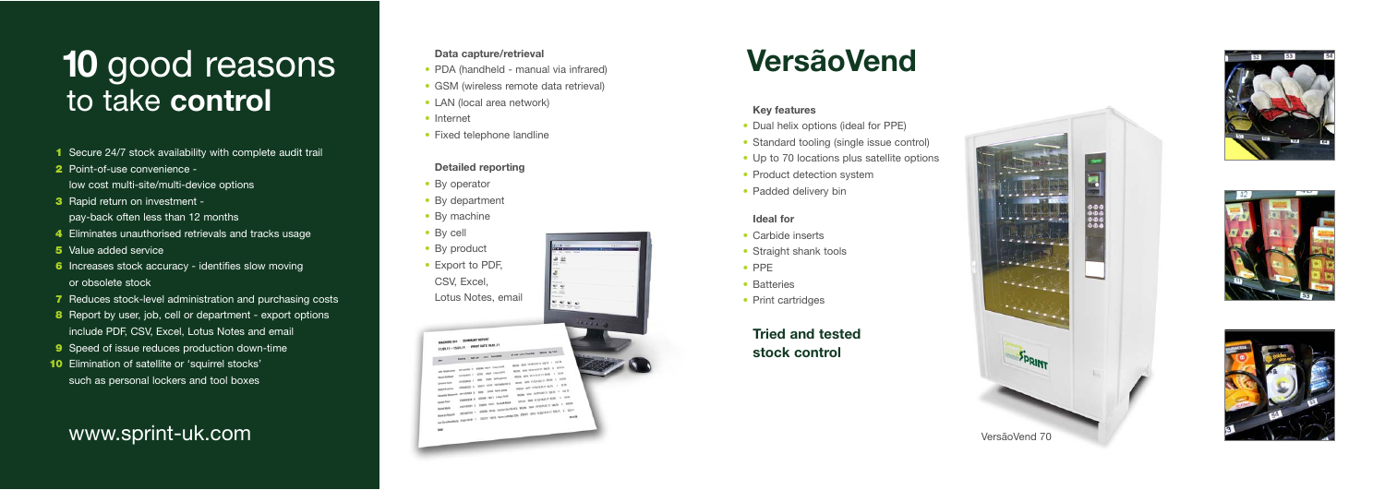#### **Key features**

- Dual helix options (ideal for PPE)
- Standard tooling (single issue control)
- Up to 70 locations plus satellite options
- Product detection system
- Padded delivery bin

- Carbide inserts
- Straight shank tools
- PPE
- Batteries
- Print cartridges

#### **Ideal for**

- PDA (handheld manual via infrared)
- GSM (wireless remote data retrieval)
- LAN (local area network)
- Internet
- Fixed telephone landline

### **Tried and tested stock control**

- By operator
- By department
- By machine
- By cell
- By product
- Export to PDF, CSV, Excel, Lotus Notes, email

MACHINE 393<br>11.01.11 - 15.01.11 PRINT DATE 16.01.11

EXAMPLE RESULT FOR THE PASSIFICATION OF THE PERSONAL PROPERTY FOR THE PERSONAL PROPERTY OF THE PERSONAL PROPERTY OF THE PERSONAL PROPERTY OF THE PERSONAL PROPERTY OF THE PERSONAL PROPERTY OF THE PERSONAL PROPERTY OF THE PE

## Data capture/retrieval<br>**Data capture/retrieval**<br>**Data capture/retrieval**<br>**Data capture/retrieval**

#### **Detailed reporting**









- **1** Secure 24/7 stock availability with complete audit trail
- **2** Point-of-use convenience -
- low cost multi-site/multi-device options
- **3** Rapid return on investment pay-back often less than 12 months
- **4** Eliminates unauthorised retrievals and tracks usage
- **5** Value added service
- **6** Increases stock accuracy identifies slow moving or obsolete stock
- **7** Reduces stock-level administration and purchasing costs
- **8** Report by user, job, cell or department export options include PDF, CSV, Excel, Lotus Notes and email
- **9** Speed of issue reduces production down-time
- **10** Elimination of satellite or 'squirrel stocks' such as personal lockers and tool boxes

# **10** good reasons to take **control**

### www.sprint-uk.com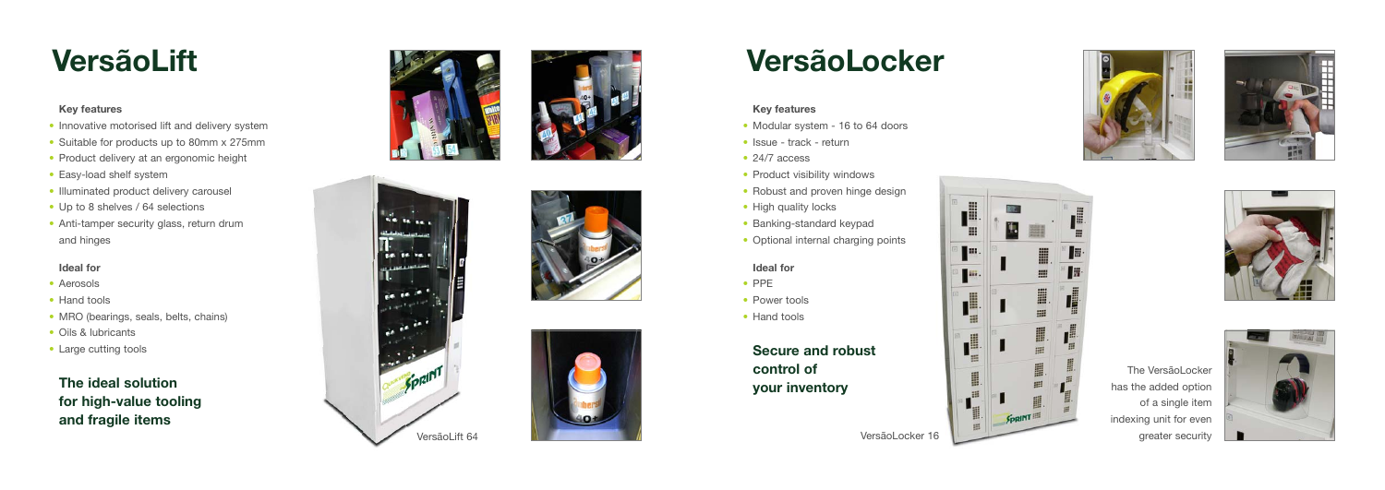#### **Key features**

- Innovative motorised lift and delivery system
- Suitable for products up to 80mm x 275mm
- Product delivery at an ergonomic height
- Easy-load shelf system
- Illuminated product delivery carousel
- Up to 8 shelves / 64 selections
- Anti-tamper security glass, return drum and hinges

- Aerosols
- Hand tools
- MRO (bearings, seals, belts, chains)
- Oils & lubricants
- Large cutting tools

### **Ideal for**

- Modular system 16 to 64 doors
- Issue track return
- 24/7 access
- Product visibility windows
- Robust and proven hinge design
- High quality locks
- Banking-standard keypad
- Optional internal charging points

- PPE
- Power tools
- Hand tools

**The ideal solution for high-value tooling and fragile items**



e مارد که ا

ER SE TE

CORI







The VersãoLocker has the added option of a single item indexing unit for even











# **VersãoLift VersãoLocker**

#### **Key features**

### **Ideal for**

**Secure and robust control of your inventory**